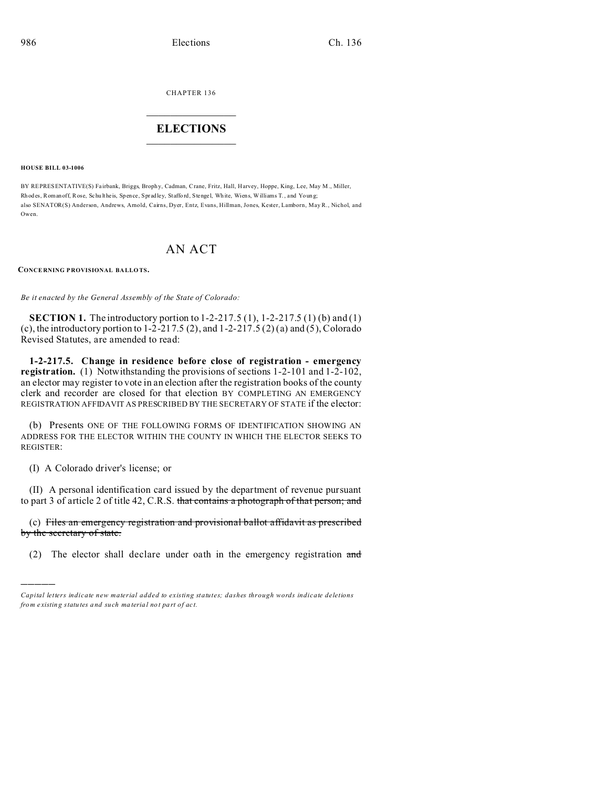CHAPTER 136

## **ELECTIONS**

**HOUSE BILL 03-1006** 

BY REPRESENTATIVE(S) Fairbank, Briggs, Brophy, Cadman, Crane, Fritz, Hall, Harvey, Hoppe, King, Lee, May M., Miller, Rhodes, Roman off, Rose, Schultheis, Spence, Spradley, Stafford, Stengel, White, Wiens, Williams T., and Young; also SENATOR(S) Anderson, Andrews, Amold, Cairns, Dyer, Entz, Evans, Hillman, Jones, Kester, Lamborn, May R., Nichol, and Owen

## **AN ACT**

**CONCERNING PROVISIONAL BALLOTS.** 

Be it enacted by the General Assembly of the State of Colorado:

**SECTION 1.** The introductory portion to  $1-2-217.5(1)$ ,  $1-2-217.5(1)$  (b) and (1) (c), the introductory portion to  $1-2-217.5(2)$ , and  $1-2-217.5(2)(a)$  and  $(5)$ , Colorado Revised Statutes, are amended to read:

1-2-217.5. Change in residence before close of registration - emergency registration. (1) Notwithstanding the provisions of sections 1-2-101 and 1-2-102, an elector may register to vote in an election after the registration books of the county clerk and recorder are closed for that election BY COMPLETING AN EMERGENCY REGISTRATION AFFIDAVIT AS PRESCRIBED BY THE SECRETARY OF STATE if the elector:

(b) Presents ONE OF THE FOLLOWING FORMS OF IDENTIFICATION SHOWING AN ADDRESS FOR THE ELECTOR WITHIN THE COUNTY IN WHICH THE ELECTOR SEEKS TO **REGISTER:** 

(I) A Colorado driver's license; or

(II) A personal identification card issued by the department of revenue pursuant to part 3 of article 2 of title 42, C.R.S. that contains a photograph of that person; and

(c) Files an emergency registration and provisional ballot affidavit as prescribed by the secretary of state.

(2) The elector shall declare under oath in the emergency registration and

Capital letters indicate new material added to existing statutes; dashes through words indicate deletions from existing statutes and such material not part of act.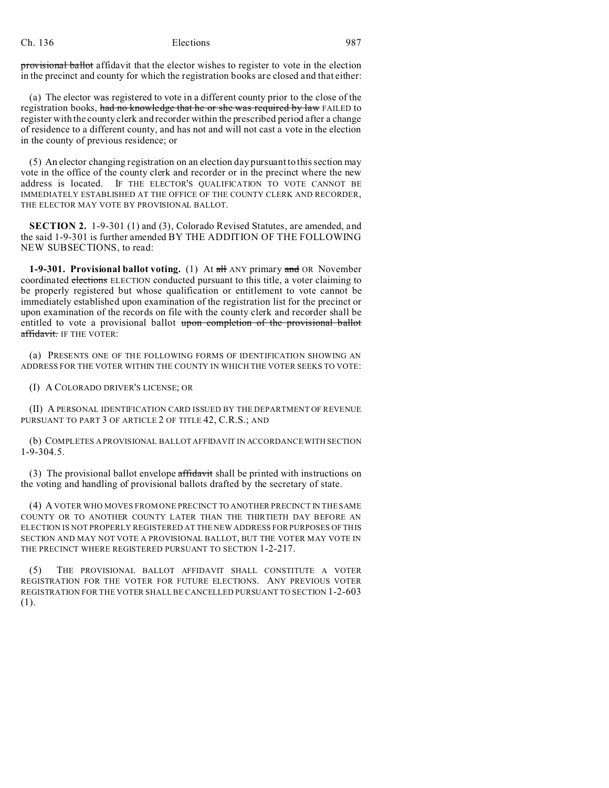## Ch. 136 Elections 987

provisional ballot affidavit that the elector wishes to register to vote in the election in the precinct and county for which the registration books are closed and that either:

(a) The elector was registered to vote in a different county prior to the close of the registration books, had no knowledge that he or she was required by law FAILED to register with the county clerk and recorder within the prescribed period after a change of residence to a different county, and has not and will not cast a vote in the election in the county of previous residence; or

(5) An elector changing registration on an election day pursuant to this section may vote in the office of the county clerk and recorder or in the precinct where the new address is located. IF THE ELECTOR'S QUALIFICATION TO VOTE CANNOT BE IMMEDIATELY ESTABLISHED AT THE OFFICE OF THE COUNTY CLERK AND RECORDER, THE ELECTOR MAY VOTE BY PROVISIONAL BALLOT.

**SECTION 2.** 1-9-301 (1) and (3), Colorado Revised Statutes, are amended, and the said 1-9-301 is further amended BY THE ADDITION OF THE FOLLOWING NEW SUBSECTIONS, to read:

**1-9-301. Provisional ballot voting.** (1) At all ANY primary and OR November coordinated elections ELECTION conducted pursuant to this title, a voter claiming to be properly registered but whose qualification or entitlement to vote cannot be immediately established upon examination of the registration list for the precinct or upon examination of the records on file with the county clerk and recorder shall be entitled to vote a provisional ballot upon completion of the provisional ballot affidavit. IF THE VOTER:

(a) PRESENTS ONE OF THE FOLLOWING FORMS OF IDENTIFICATION SHOWING AN ADDRESS FOR THE VOTER WITHIN THE COUNTY IN WHICH THE VOTER SEEKS TO VOTE:

(I) A COLORADO DRIVER'S LICENSE; OR

(II) A PERSONAL IDENTIFICATION CARD ISSUED BY THE DEPARTMENT OF REVENUE PURSUANT TO PART 3 OF ARTICLE 2 OF TITLE 42, C.R.S.; AND

(b) COMPLETES A PROVISIONAL BALLOT AFFIDAVIT IN ACCORDANCE WITH SECTION 1-9-304.5.

(3) The provisional ballot envelope  $\frac{f_{\text{total}}}{f_{\text{total}}}$  shall be printed with instructions on the voting and handling of provisional ballots drafted by the secretary of state.

(4) A VOTER WHO MOVES FROM ONE PRECINCT TO ANOTHER PRECINCT IN THE SAME COUNTY OR TO ANOTHER COUNTY LATER THAN THE THIRTIETH DAY BEFORE AN ELECTION IS NOT PROPERLY REGISTERED AT THE NEW ADDRESS FOR PURPOSES OF THIS SECTION AND MAY NOT VOTE A PROVISIONAL BALLOT, BUT THE VOTER MAY VOTE IN THE PRECINCT WHERE REGISTERED PURSUANT TO SECTION 1-2-217.

(5) THE PROVISIONAL BALLOT AFFIDAVIT SHALL CONSTITUTE A VOTER REGISTRATION FOR THE VOTER FOR FUTURE ELECTIONS. ANY PREVIOUS VOTER REGISTRATION FOR THE VOTER SHALL BE CANCELLED PURSUANT TO SECTION 1-2-603 (1).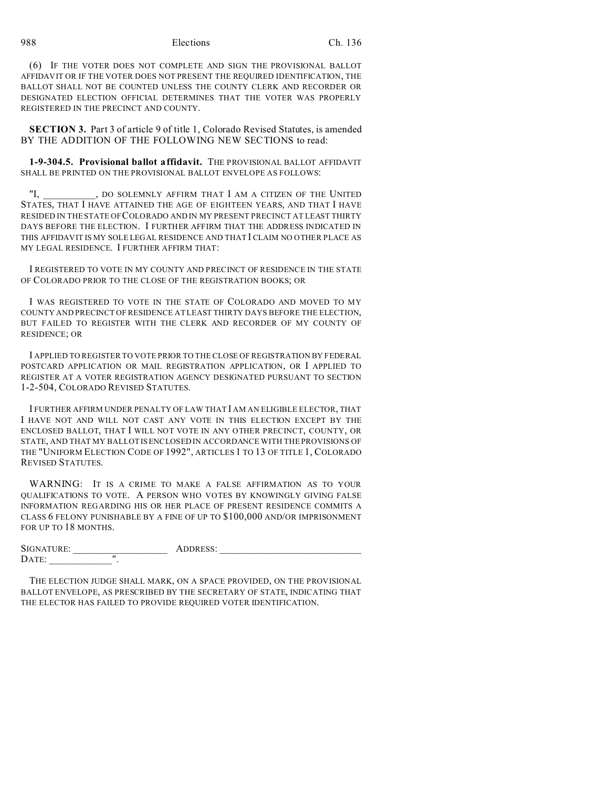988 Elections Ch. 136

(6) IF THE VOTER DOES NOT COMPLETE AND SIGN THE PROVISIONAL BALLOT AFFIDAVIT OR IF THE VOTER DOES NOT PRESENT THE REQUIRED IDENTIFICATION, THE BALLOT SHALL NOT BE COUNTED UNLESS THE COUNTY CLERK AND RECORDER OR DESIGNATED ELECTION OFFICIAL DETERMINES THAT THE VOTER WAS PROPERLY REGISTERED IN THE PRECINCT AND COUNTY.

**SECTION 3.** Part 3 of article 9 of title 1, Colorado Revised Statutes, is amended BY THE ADDITION OF THE FOLLOWING NEW SECTIONS to read:

**1-9-304.5. Provisional ballot affidavit.** THE PROVISIONAL BALLOT AFFIDAVIT SHALL BE PRINTED ON THE PROVISIONAL BALLOT ENVELOPE AS FOLLOWS:

"I, po solemnly affirm that I am a citizen of the United STATES, THAT I HAVE ATTAINED THE AGE OF EIGHTEEN YEARS, AND THAT I HAVE RESIDED IN THE STATE OF COLORADO AND IN MY PRESENT PRECINCT AT LEAST THIRTY DAYS BEFORE THE ELECTION. I FURTHER AFFIRM THAT THE ADDRESS INDICATED IN THIS AFFIDAVIT IS MY SOLE LEGAL RESIDENCE AND THAT I CLAIM NO OTHER PLACE AS MY LEGAL RESIDENCE. I FURTHER AFFIRM THAT:

I REGISTERED TO VOTE IN MY COUNTY AND PRECINCT OF RESIDENCE IN THE STATE OF COLORADO PRIOR TO THE CLOSE OF THE REGISTRATION BOOKS; OR

I WAS REGISTERED TO VOTE IN THE STATE OF COLORADO AND MOVED TO MY COUNTY AND PRECINCT OF RESIDENCE AT LEAST THIRTY DAYS BEFORE THE ELECTION, BUT FAILED TO REGISTER WITH THE CLERK AND RECORDER OF MY COUNTY OF RESIDENCE; OR

I APPLIED TO REGISTER TO VOTE PRIOR TO THE CLOSE OF REGISTRATION BY FEDERAL POSTCARD APPLICATION OR MAIL REGISTRATION APPLICATION, OR I APPLIED TO REGISTER AT A VOTER REGISTRATION AGENCY DESIGNATED PURSUANT TO SECTION 1-2-504, COLORADO REVISED STATUTES.

I FURTHER AFFIRM UNDER PENALTY OF LAW THAT I AM AN ELIGIBLE ELECTOR, THAT I HAVE NOT AND WILL NOT CAST ANY VOTE IN THIS ELECTION EXCEPT BY THE ENCLOSED BALLOT, THAT I WILL NOT VOTE IN ANY OTHER PRECINCT, COUNTY, OR STATE, AND THAT MY BALLOT IS ENCLOSED IN ACCORDANCE WITH THE PROVISIONS OF THE "UNIFORM ELECTION CODE OF 1992", ARTICLES 1 TO 13 OF TITLE 1, COLORADO REVISED STATUTES.

WARNING: IT IS A CRIME TO MAKE A FALSE AFFIRMATION AS TO YOUR QUALIFICATIONS TO VOTE. A PERSON WHO VOTES BY KNOWINGLY GIVING FALSE INFORMATION REGARDING HIS OR HER PLACE OF PRESENT RESIDENCE COMMITS A CLASS 6 FELONY PUNISHABLE BY A FINE OF UP TO \$100,000 AND/OR IMPRISONMENT FOR UP TO 18 MONTHS.

| SIGNATURE: | odress.<br>$\blacktriangle$<br>, טשבתי |
|------------|----------------------------------------|
| ∽<br>DAIL. |                                        |

THE ELECTION JUDGE SHALL MARK, ON A SPACE PROVIDED, ON THE PROVISIONAL BALLOT ENVELOPE, AS PRESCRIBED BY THE SECRETARY OF STATE, INDICATING THAT THE ELECTOR HAS FAILED TO PROVIDE REQUIRED VOTER IDENTIFICATION.